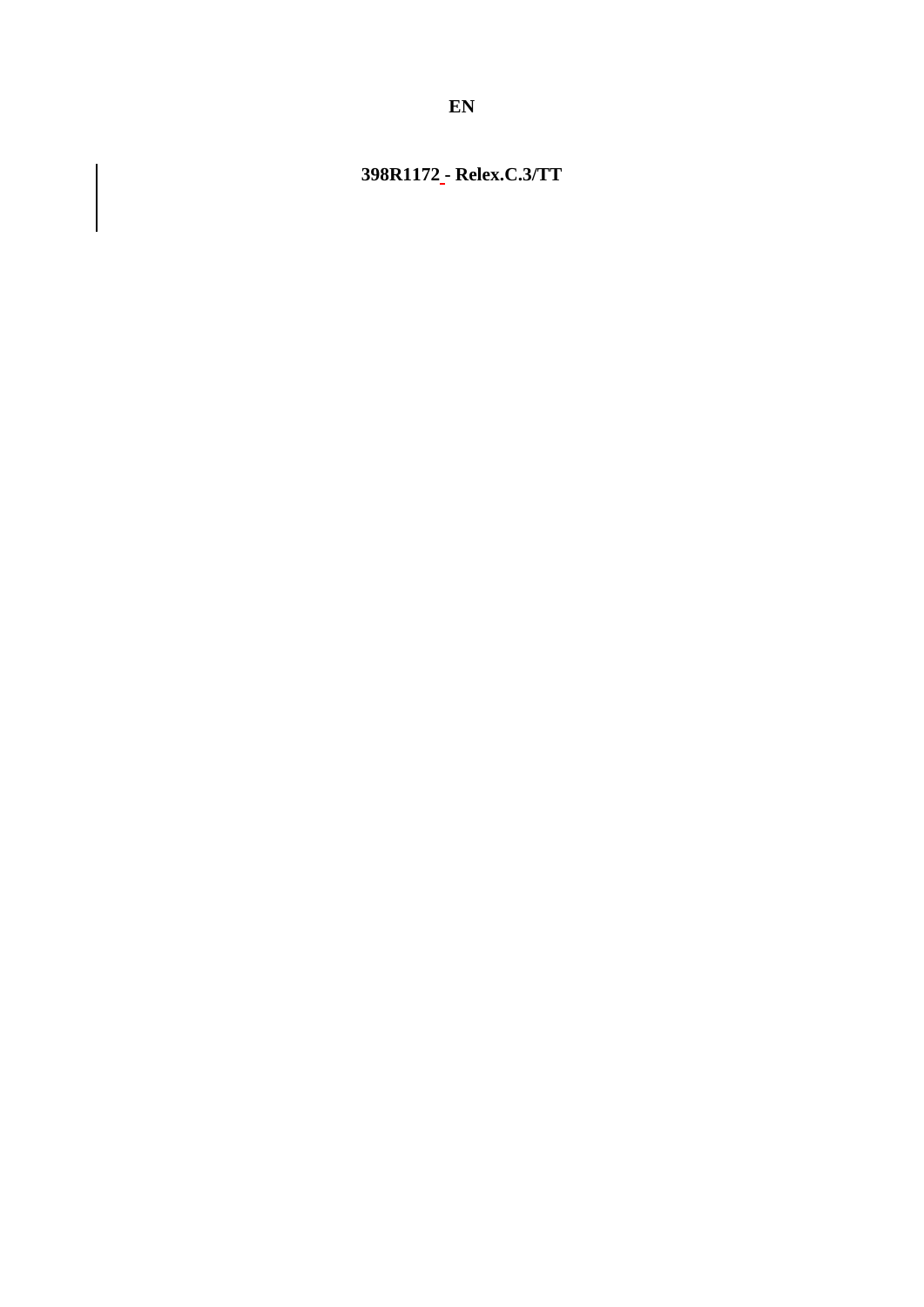# 398R1172<sub>-</sub>-Relex.C.3/TT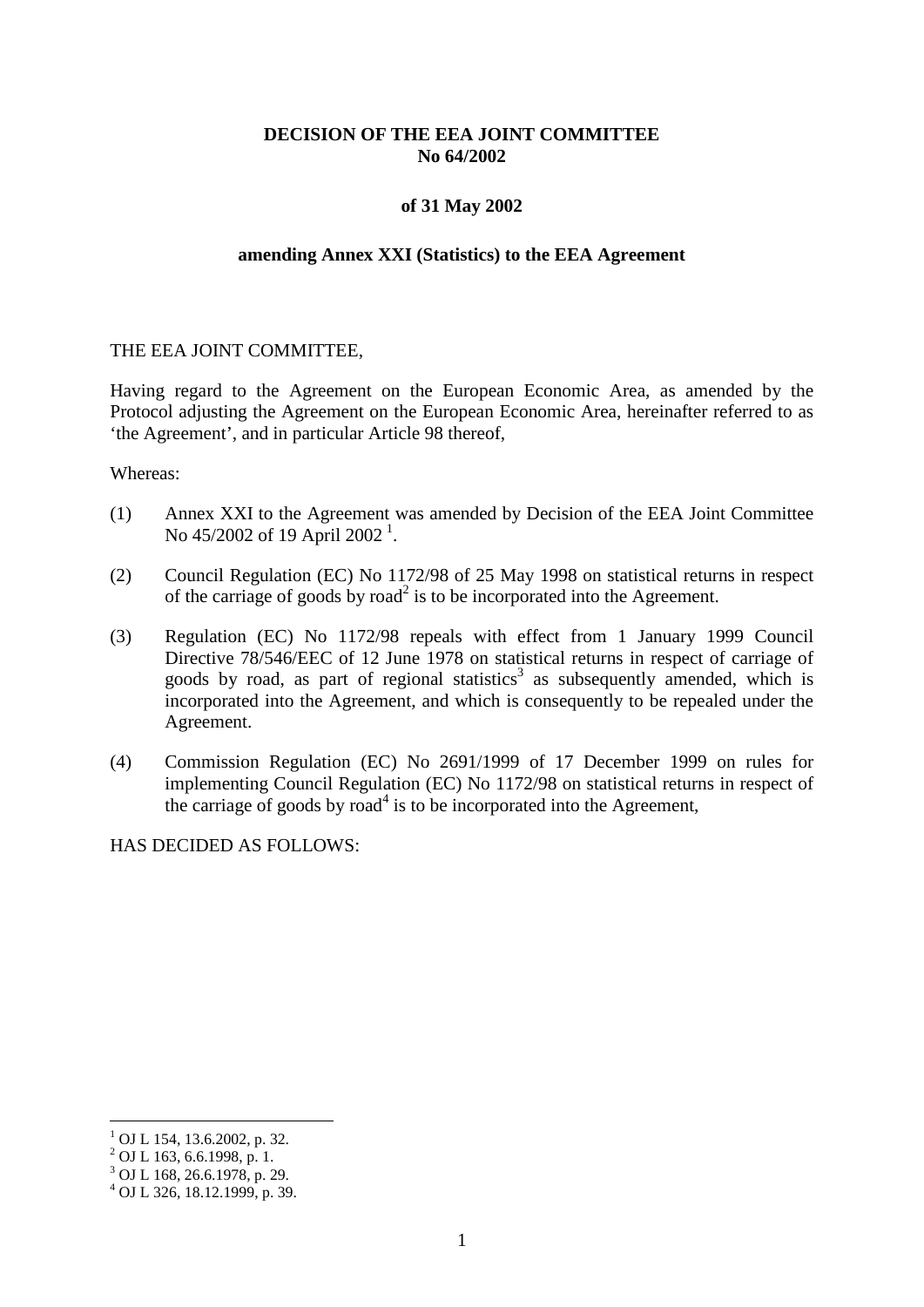## **DECISION OF THE EEA JOINT COMMITTEE No 64/2002**

#### **of 31 May 2002**

#### **amending Annex XXI (Statistics) to the EEA Agreement**

#### THE EEA JOINT COMMITTEE,

Having regard to the Agreement on the European Economic Area, as amended by the Protocol adjusting the Agreement on the European Economic Area, hereinafter referred to as 'the Agreement', and in particular Article 98 thereof,

Whereas:

- (1) Annex XXI to the Agreement was amended by Decision of the EEA Joint Committee No  $45/2002$  of [1](#page-1-0)9 April 2002<sup>1</sup>.
- (2) Council Regulation (EC) No 1172/98 of 25 May 1998 on statistical returns in respect of the carriage of goods by road<sup>2</sup> is to be incorporated into the Agreement.
- (3) Regulation (EC) No 1172/98 repeals with effect from 1 January 1999 Council Directive 78/546/EEC of 12 June 1978 on statistical returns in respect of carriage of goods by road, as part of regional statistics<sup>3</sup> as subsequently amended, which is incorporated into the Agreement, and which is consequently to be repealed under the Agreement.
- (4) Commission Regulation (EC) No 2691/1999 of 17 December 1999 on rules for implementing Council Regulation (EC) No 1172/98 on statistical returns in respect of the carriage of goods by road<sup>4</sup> is to be incorporated into the Agreement,

HAS DECIDED AS FOLLOWS:

 $1$  OJ L 154, 13.6.2002, p. 32.<br>  $2$  OJ L 163, 6.6.1998, p. 1.

<sup>3</sup> OJ L 168, 26.6.1978, p. 29.

<span id="page-1-0"></span> $^{4}$  OJ L 326, 18.12.1999, p. 39.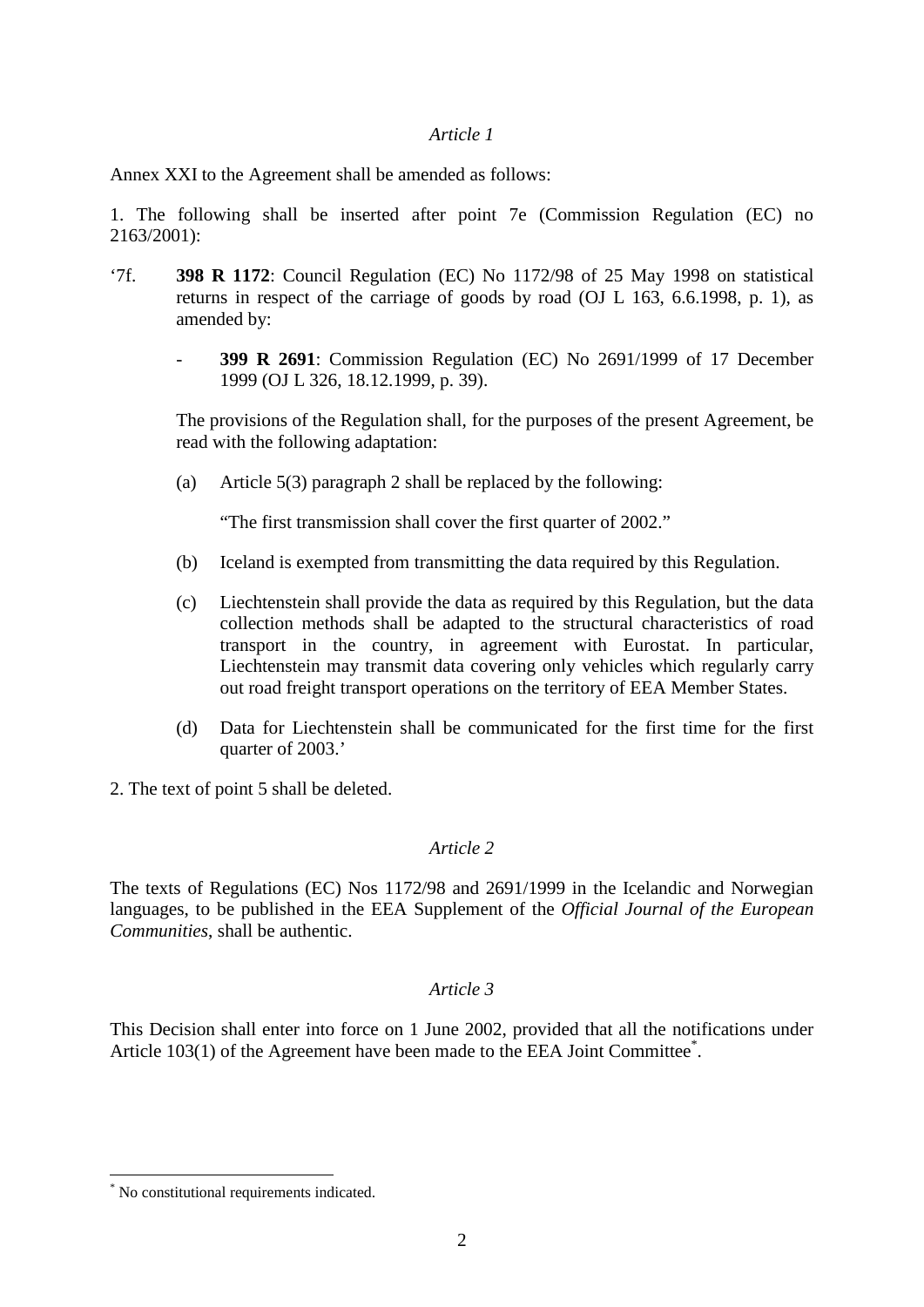#### *Article 1*

Annex XXI to the Agreement shall be amended as follows:

1. The following shall be inserted after point 7e (Commission Regulation (EC) no 2163/2001):

- '7f. **398 R 1172**: Council Regulation (EC) No 1172/98 of 25 May 1998 on statistical returns in respect of the carriage of goods by road (OJ L 163, 6.6.1998, p. 1), as amended by:
	- **399 R 2691**: Commission Regulation (EC) No 2691/1999 of 17 December 1999 (OJ L 326, 18.12.1999, p. 39).

The provisions of the Regulation shall, for the purposes of the present Agreement, be read with the following adaptation:

(a) Article 5(3) paragraph 2 shall be replaced by the following:

"The first transmission shall cover the first quarter of 2002."

- (b) Iceland is exempted from transmitting the data required by this Regulation.
- (c) Liechtenstein shall provide the data as required by this Regulation, but the data collection methods shall be adapted to the structural characteristics of road transport in the country, in agreement with Eurostat. In particular, Liechtenstein may transmit data covering only vehicles which regularly carry out road freight transport operations on the territory of EEA Member States.
- (d) Data for Liechtenstein shall be communicated for the first time for the first quarter of 2003.'
- 2. The text of point 5 shall be deleted.

## *Article 2*

The texts of Regulations (EC) Nos 1172/98 and 2691/1999 in the Icelandic and Norwegian languages, to be published in the EEA Supplement of the *Official Journal of the European Communities*, shall be authentic.

## *Article 3*

This Decision shall enter into force on 1 June 2002, provided that all the notifications under Article 103(1) of the Agreement have been made to the EEA Joint Committee<sup>\*</sup>.

 <sup>\*</sup> No constitutional requirements indicated.